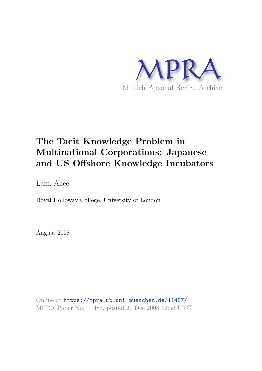

# **The Tacit Knowledge Problem in Multinational Corporations: Japanese and US Offshore Knowledge Incubators**

Lam, Alice

Royal Holloway College, University of London

August 2008

Online at https://mpra.ub.uni-muenchen.de/11487/ MPRA Paper No. 11487, posted 20 Dec 2008 12:56 UTC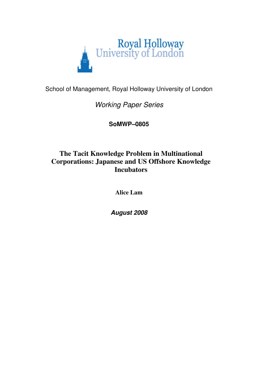

School of Management, Royal Holloway University of London

# Working Paper Series

**SoMWP–0805** 

# **The Tacit Knowledge Problem in Multinational Corporations: Japanese and US Offshore Knowledge Incubators**

**Alice Lam**

**August 2008**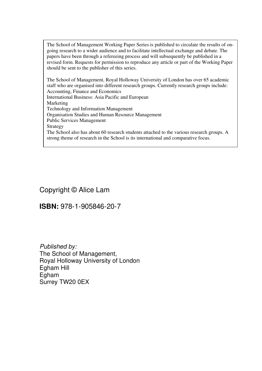The School of Management Working Paper Series is published to circulate the results of ongoing research to a wider audience and to facilitate intellectual exchange and debate. The papers have been through a refereeing process and will subsequently be published in a revised form. Requests for permission to reproduce any article or part of the Working Paper should be sent to the publisher of this series.

The School of Management, Royal Holloway University of London has over 65 academic staff who are organised into different research groups. Currently research groups include: Accounting, Finance and Economics International Business: Asia Pacific and European Marketing Technology and Information Management Organisation Studies and Human Resource Management Public Services Management Strategy The School also has about 60 research students attached to the various research groups. A strong theme of research in the School is its international and comparative focus.

# Copyright © Alice Lam

# **ISBN:** 978-1-905846-20-7

Published by: The School of Management, Royal Holloway University of London Egham Hill Egham Surrey TW20 0EX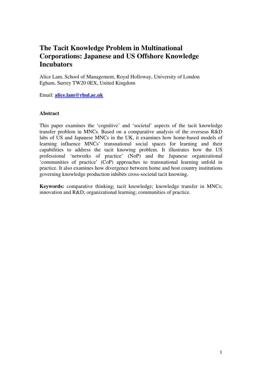# **The Tacit Knowledge Problem in Multinational Corporations: Japanese and US Offshore Knowledge Incubators**

Alice Lam, School of Management, Royal Holloway, University of London Egham, Surrey TW20 0EX, United Kingdom

Email: **[alice.lam@rhul.ac.uk](mailto:alice.lam@rhul.ac.uk)**

# **Abstract**

This paper examines the 'cognitive' and 'societal' aspects of the tacit knowledge transfer problem in MNCs. Based on a comparative analysis of the overseas R&D labs of US and Japanese MNCs in the UK, it examines how home-based models of learning influence MNCs' transnational social spaces for learning and their capabilities to address the tacit knowing problem. It illustrates how the US professional 'networks of practice' (NoP) and the Japanese organizational 'communities of practice' (CoP) approaches to transnational learning unfold in practice. It also examines how divergence between home and host country institutions governing knowledge production inhibits cross-societal tacit knowing.

**Keywords:** comparative thinking; tacit knowledge; knowledge transfer in MNCs; innovation and R&D; organizational learning; communities of practice.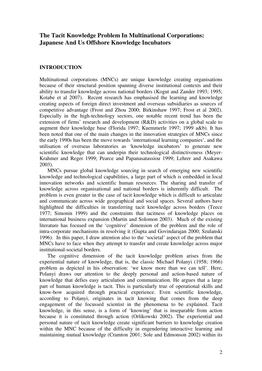# **The Tacit Knowledge Problem In Multinational Corporations: Japanese And Us Offshore Knowledge Incubators**

# **INTRODUCTION**

Multinational corporations (MNCs) are unique knowledge creating organisations because of their structural position spanning diverse institutional contexts and their ability to transfer knowledge across national borders (Kogut and Zander 1993; 1995; Kotabe et al 2007). Recent research has emphasised the learning and knowledge creating aspects of foreign direct investment and overseas subsidiaries as sources of competitive advantage (Frost and Zhou 2000; Birkinshaw 1997; Frost et al 2002). Especially in the high-technology sectors, one notable recent trend has been the extension of firms' research and development (R&D) activities on a global scale to augment their knowledge base (Florida 1997; Kuemmerle 1997; 1999 a&b). It has been noted that one of the main changes in the innovation strategies of MNCs since the early 1990s has been the move towards 'international learning companies', and the utilisation of overseas laboratories as 'knowledge incubators' to generate new scientific knowledge that can underpin their technological distinctiveness (Meyer-Krahmer and Reger 1999; Pearce and Papanasatassiou 1999; Lehrer and Asakawa 2003).

 MNCs pursue global knowledge sourcing in search of emerging new scientific knowledge and technological capabilities, a large part of which is embedded in local innovation networks and scientific human resources. The sharing and transfer of knowledge across organisational and national borders is inherently difficult. The problem is even greater in the case of tacit knowledge which is difficult to articulate and communicate across wide geographical and social spaces. Several authors have highlighted the difficulties in transferring tacit knowledge across borders (Teece 1977; Simonin 1999) and the constraints that tacitness of knowledge places on international business expansion (Martin and Solomon 2003). Much of the existing literature has focused on the 'cognitive' dimension of the problem and the role of intra-corporate mechanisms in resolving it (Gupta and Govindarajan 2000; Szulanski 1996). In this paper, I draw attention also to the 'societal' aspect of the problem that MNCs have to face when they attempt to transfer and create knowledge across major institutional-societal borders.

 The cognitive dimension of the tacit knowledge problem arises from the experiential nature of knowledge, that is, the classic Michael Polanyi (1958; 1966) problem as depicted in his observation: 'we know more than we can tell'. Here, Polanyi draws our attention to the deeply personal and action-based nature of knowledge that defies easy articulation and communication. He argues that a large part of human knowledge is tacit. This is particularly true of operational skills and know-how acquired through practical experience. Even scientific knowledge, according to Polanyi, originates in tacit knowing that comes from the deep engagement of the focussed scientist in the phenomena to be explained. Tacit knowledge, in this sense, is a form of 'knowing' that is inseparable from action because it is constituted through action (Orlikowski 2002). The experiential and personal nature of tacit knowledge create significant barriers to knowledge creation within the MNC because of the difficulty in engendering interactive learning and maintaining mutual knowledge (Cramton 2001; Sole and Edmonson 2002) within its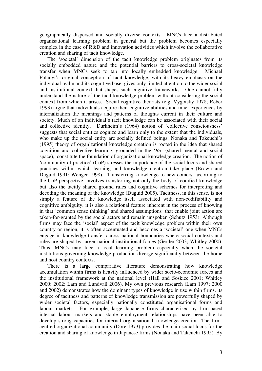geographically dispersed and socially diverse contexts. MNCs face a distributed organisational learning problem in general but the problem becomes especially complex in the case of R&D and innovation activities which involve the collaborative creation and sharing of tacit knowledge.

 The 'societal' dimension of the tacit knowledge problem originates from its socially embedded nature and the potential barriers to cross-societal knowledge transfer when MNCs seek to tap into locally embedded knowledge. Michael Polanyi's original conception of tacit knowledge, with its heavy emphasis on the individual realm and its cognitive base, gives only limited attention to the wider social and institutional context that shapes such cognitive frameworks. One cannot fully understand the nature of the tacit knowledge problem without considering the social context from which it arises. Social cognitive theorists (e.g. Vygotsky 1978; Reber 1993) argue that individuals acquire their cognitive abilities and inner experiences by internalization the meanings and patterns of thoughts current in their culture and society. Much of an individual's tacit knowledge can be associated with their social and collective identity. Durkheim's (1964) notion of 'collective consciousness' suggests that social entities cognize and learn only to the extent that the individuals, who make up the social entity are socially defined beings. Nonaka and Takeuchi's (1995) theory of organizational knowledge creation is rooted in the idea that shared cognition and collective learning, grounded in the '*Ba*' (shared mental and social space), constitute the foundation of organizational knowledge creation. The notion of 'community of practice' (CoP) stresses the importance of the social locus and shared practices within which learning and knowledge creation take place (Brown and Duguid 1991; Wenger 1998). Transferring knowledge to new comers, according to the CoP perspective, involves transferring not only the body of codified knowledge but also the tacitly shared ground rules and cognitive schemes for interpreting and decoding the meaning of the knowledge (Duguid 2005). Tacitness, in this sense, is not simply a feature of the knowledge itself associated with non-codifiability and cognitive ambiguity, it is also a relational feature inherent in the process of knowing in that 'common sense thinking' and shared assumptions that enable joint action are taken-for-granted by the social actors and remain unspoken (Schutz 1953). Although firms may face the 'social' aspect of the tacit knowledge problem within their own country or region, it is often accentuated and becomes a 'societal' one when MNCs engage in knowledge transfer across national boundaries where social contexts and rules are shaped by larger national institutional forces (Gertler 2003; Whitley 2000). Thus, MNCs may face a local learning problem especially when the societal institutions governing knowledge production diverge significantly between the home and host country contexts.

 There is a large comparative literature demonstrating how knowledge accumulation within firms is heavily influenced by wider socio-economic forces and the institutional framework at the national level (Hall and Soskice 2001; Whitley 2000; 2002; Lam and Lundvall 2006). My own previous research (Lam 1997; 2000 and 2002) demonstrates how the dominant types of knowledge in use within firms, its degree of tacitness and patterns of knowledge transmission are powerfully shaped by wider societal factors, especially nationally constituted organisational forms and labour markets. For example, large Japanese firms characterised by firm-based internal labour markets and stable employment relationships have been able to develop strong capacities for internal organisational knowledge creation. The firmcentred organizational community (Dore 1973) provides the main social locus for the creation and sharing of knowledge in Japanese firms (Nonaka and Takeuchi 1995). By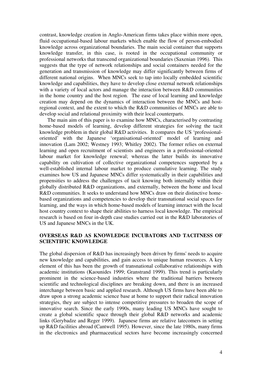contrast, knowledge creation in Anglo-American firms takes place within more open, fluid occupational-based labour markets which enable the flow of person-embodied knowledge across organizational boundaries. The main social container that supports knowledge transfer, in this case, is rooted in the occupational community or professional networks that transcend organizational boundaries (Saxenian 1996). This suggests that the type of network relationships and social containers needed for the generation and transmission of knowledge may differ significantly between firms of different national origins. When MNCs seek to tap into locally embedded scientific knowledge and capabilities, they have to develop close external network relationships with a variety of local actors and manage the interaction between R&D communities in the home country and the host region. The ease of local learning and knowledge creation may depend on the dynamics of interaction between the MNCs and hostregional context, and the extent to which the R&D communities of MNCs are able to develop social and relational proximity with their local counterparts.

 The main aim of this paper is to examine how MNCs, characterised by contrasting home-based models of learning, develop different strategies for solving the tacit knowledge problem in their global R&D activities. It compares the US 'professionaloriented' with the Japanese 'organisational-oriented' model of learning and innovation (Lam 2002; Westney 1993; Whitley 2002). The former relies on external learning and open recruitment of scientists and engineers in a professional-oriented labour market for knowledge renewal; whereas the latter builds its innovative capability on cultivation of collective organizational competences supported by a well-established internal labour market to produce cumulative learning. The study examines how US and Japanese MNCs differ systematically in their capabilities and propensities to address the challenges of tacit knowing both internally within their globally distributed R&D organizations, and externally, between the home and local R&D communities. It seeks to understand how MNCs draw on their distinctive homebased organizations and competencies to develop their transnational social spaces for learning, and the ways in which home-based models of learning interact with the local host country context to shape their abilities to harness local knowledge. The empirical research is based on four in-depth case studies carried out in the R&D laboratories of US and Japanese MNCs in the UK.

# **OVERSEAS R&D AS KNOWLEDGE INCUBATORS AND TACITNESS OF SCIENTIFIC KNOWLEDGE**

The global dispersion of R&D has increasingly been driven by firms' needs to acquire new knowledge and capabilities, and gain access to unique human resources. A key element of this has been the growth of transnational collaborative relationships with academic institutions (Kaounides 1999; Granstrand 1999). This trend is particularly prominent in the science-based industries where the traditional barriers between scientific and technological disciplines are breaking down, and there is an increased interchange between basic and applied research. Although US firms have been able to draw upon a strong academic science base at home to support their radical innovation strategies, they are subject to intense competitive pressures to broaden the scope of innovative search. Since the early 1990s, many leading US MNCs have sought to create a global scientific space through their global R&D networks and academic links (Gerybadze and Reger 1999). Japanese firms are relative latecomers in setting up R&D facilities abroad **(**Cantwell 1995). However, since the late 1980s, many firms in the electronics and pharmaceutical sectors have become increasingly concerned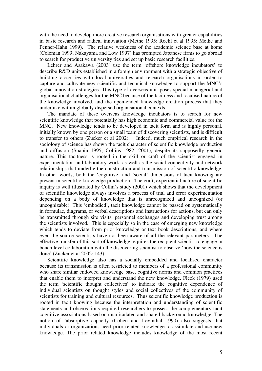with the need to develop more creative research organisations with greater capabilities in basic research and radical innovation (Methe 1995; Roehl et al 1995; Methe and Penner-Hahn 1999). The relative weakness of the academic science base at home (Coleman 1999; Nakayama and Low 1997) has prompted Japanese firms to go abroad to search for productive university ties and set up basic research facilities.

 Lehrer and Asakawa (2003) use the term 'offshore knowledge incubators' to describe R&D units established in a foreign environment with a strategic objective of building close ties with local universities and research organisations in order to capture and cultivate new scientific and technical knowledge to support the MNC's global innovation strategies. This type of overseas unit poses special managerial and organisational challenges for the MNC because of the tacitness and localised nature of the knowledge involved, and the open-ended knowledge creation process that they undertake within globally dispersed organisational contexts.

 The mandate of these overseas knowledge incubators is to search for new scientific knowledge that potentially has high economic and commercial value for the MNC. New knowledge tends to be developed in tacit form and is highly personal, initially known by one person or a small team of discovering scientists, and is difficult<br>to transfer to others (Zucker et al 2002). Indeed, much empirical research in the to transfer to others (Zucker et al  $2002$ ). sociology of science has shown the tacit character of scientific knowledge production and diffusion (Shapin 1995; Collins 1982; 2001), despite its supposedly generic nature. This tacitness is rooted in the skill or craft of the scientist engaged in experimentation and laboratory work, as well as the social connectivity and network relationships that underlie the construction and transmission of scientific knowledge. In other words, both the 'cognitive' and 'social' dimensions of tacit knowing are present in scientific knowledge production. The craft, experiential nature of scientific inquiry is well illustrated by Collin's study (2001) which shows that the development of scientific knowledge always involves a process of trial and error experimentation depending on a body of knowledge that is unrecognized and uncognized (or uncognizable). This 'embodied', tacit knowledge cannot be passed on systematically in formulae, diagrams, or verbal descriptions and instructions for actions, but can only be transmitted through site visits, personnel exchanges and developing trust among the scientists involved. This is especially so in the case of emerging new knowledge which tends to deviate from prior knowledge or text book descriptions, and where even the source scientists have not been aware of all the relevant parameters. The effective transfer of this sort of knowledge requires the recipient scientist to engage in bench level collaboration with the discovering scientist to observe 'how the science is done' (Zucker et al 2002: 143).

 Scientific knowledge also has a socially embedded and localised character because its transmission is often restricted to members of a professional community who share similar endowed knowledge base, cognitive norms and common practices that enable them to interpret and understand the new knowledge. Fleck (1979) used the term 'scientific thought collectives' to indicate the cognitive dependence of individual scientists on thought styles and social collectives of the community of scientists for training and cultural resources. Thus scientific knowledge production is rooted in tacit knowing because the interpretation and understanding of scientific statements and observations required researchers to possess the complementary tacit cognitive associations based on unarticulated and shared background knowledge. The notion of 'absorptive capacity (Cohen and Levinthal 1990) also suggests that individuals or organizations need prior related knowledge to assimilate and use new knowledge. The prior related knowledge includes knowledge of the most recent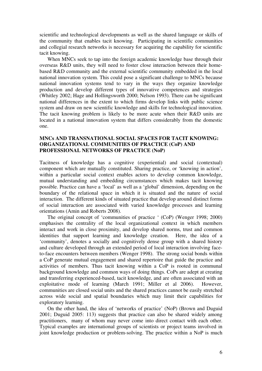scientific and technological developments as well as the shared language or skills of the community that enables tacit knowing. Participating in scientific communities and collegial research networks is necessary for acquiring the capability for scientific tacit knowing.

 When MNCs seek to tap into the foreign academic knowledge base through their overseas R&D units, they will need to foster close interaction between their homebased R&D community and the external scientific community embedded in the local national innovation system. This could pose a significant challenge to MNCs because national innovation systems tend to vary in the ways they organize knowledge production and develop different types of innovative competences and strategies (Whitley 2002; Hage and Hollingsworth 2000; Nelson 1993). There can be significant national differences in the extent to which firms develop links with public science system and draw on new scientific knowledge and skills for technological innovation. The tacit knowing problem is likely to be more acute when their R&D units are located in a national innovation system that differs considerably from the domestic one.

# **MNCs AND TRANSNATIONAL SOCIAL SPACES FOR TACIT KNOWING: ORGANIZATIONAL COMMUNITIES OF PRACTICE (CoP) AND PROFESSIONAL NETWORKS OF PRACTICE (NoP)**

Tacitness of knowledge has a cognitive (experiential) and social (contextual) component which are mutually constituted. Sharing practice, or 'knowing in action', within a particular social context enables actors to develop common knowledge, mutual understanding and embedding circumstances which makes tacit knowing possible. Practice can have a 'local' as well as a 'global' dimension, depending on the boundary of the relational space in which it is situated and the nature of social interaction. The different kinds of situated practice that develop around distinct forms of social interaction are associated with varied knowledge processes and learning orientations (Amin and Roberts 2008).

 The original concept of 'communities of practice ' (CoP) (Wenger 1998; 2000) emphasises the centrality of the local organizational context in which members interact and work in close proximity, and develop shared norms, trust and common identities that support learning and knowledge creation. Here, the idea of a 'community', denotes a socially and cognitively dense group with a shared history and culture developed through an extended period of local interaction involving faceto-face encounters between members (Wenger 1998). The strong social bonds within a CoP generate mutual engagement and shared repertoire that guide the practice and activities of members. Thus tacit knowing within a CoP is rooted in communal background knowledge and common ways of doing things. CoPs are adept at creating and transferring experienced-based, tacit knowledge, and are often associated with an exploitative mode of learning (March 1991; Miller et al 2006). However, communities are closed social units and the shared practices cannot be easily stretched across wide social and spatial boundaries which may limit their capabilities for exploratory learning.

 On the other hand, the idea of 'networks of practice' (NoP) (Brown and Duguid 2001; Duguid 2005: 113) suggests that practice can also be shared widely among practitioners, many of whom may never come into direct contact with each other. Typical examples are international groups of scientists or project teams involved in joint knowledge production or problem-solving. The practice within a NoP is much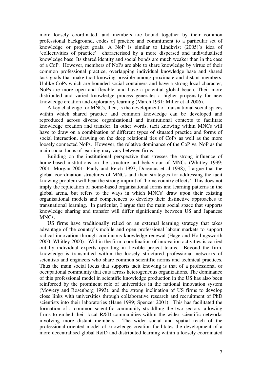more loosely coordinated, and members are bound together by their common professional background, codes of practice and commitment to a particular set of knowledge or project goals. A NoP is similar to Lindkvist (2005)'s idea of 'collectivities of practice' characterised by a more dispersed and individualised knowledge base. Its shared identity and social bonds are much weaker than in the case of a CoP. However, members of NoPs are able to share knowledge by virtue of their common professional practice, overlapping individual knowledge base and shared task goals that make tacit knowing possible among proximate and distant members. Unlike CoPs which are bounded social containers and have a strong local character, NoPs are more open and flexible, and have a potential global beach. Their more distributed and varied knowledge process generates a higher propensity for new knowledge creation and exploratory learning (March 1991; Miller et al 2006).

 A key challenge for MNCs, then, is the development of transnational social spaces within which shared practice and common knowledge can be developed and reproduced across diverse organizational and institutional contexts to facilitate knowledge creation and transfer. In other words, tacit knowing within MNCs will have to draw on a combination of different types of situated practice and forms of social interaction, drawing on the deep relational ties of CoPs as well as the more loosely connected NoPs. However, the relative dominance of the CoP vs. NoP as the main social locus of learning may vary between firms.

 Building on the institutional perspective that stresses the strong influence of home-based institutions on the structure and behaviour of MNCs (Whitley 1999; 2001; Morgan 2001; Pauly and Reich 1997; Doremus et al 1998), I argue that the global coordination structures of MNCs and their strategies for addressing the tacit knowing problem will bear the strong imprint of 'home country effects'. This does not imply the replication of home-based organisational forms and learning patterns in the global arena, but refers to the ways in which MNCs' draw upon their existing organisational models and competences to develop their distinctive approaches to transnational learning. In particular, I argue that the main social space that supports knowledge sharing and transfer will differ significantly between US and Japanese MNCs.

 US firms have traditionally relied on an external learning strategy that takes advantage of the country's mobile and open professional labour markets to support radical innovation through continuous knowledge renewal (Hage and Hollingsworth 2000; Whitley 2000). Within the firm, coordination of innovation activities is carried out by individual experts operating in flexible project teams. Beyond the firm, knowledge is transmitted within the loosely structured professional networks of scientists and engineers who share common scientific norms and technical practices. Thus the main social locus that supports tacit knowing is that of a professional or occupational community that cuts across heterogeneous organizations. The dominance of this professional model in scientific knowledge production in the US has also been reinforced by the prominent role of universities in the national innovation system (Mowery and Rosenberg 1993), and the strong inclination of US firms to develop close links with universities through collaborative research and recruitment of PhD scientists into their laboratories (Hane 1999; Spencer 2001). This has facilitated the formation of a common scientific community straddling the two sectors, allowing firms to embed their local R&D communities within the wider scientific networks involving more distant members. The wider social and spatial reach of the professional-oriented model of knowledge creation facilitates the development of a more decentralised global R&D and distributed learning within a loosely coordinated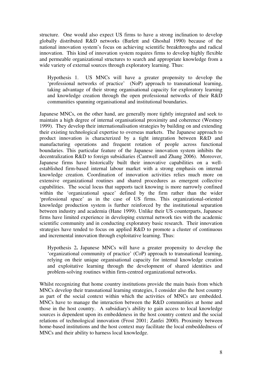structure. One would also expect US firms to have a strong inclination to develop globally distributed R&D networks (Barlett and Ghoshal 1990) because of the national innovation system's focus on achieving scientific breakthroughs and radical innovation. This kind of innovation system requires firms to develop highly flexible and permeable organizational structures to search and appropriate knowledge from a wide variety of external sources through exploratory learning. Thus:

Hypothesis 1. US MNCs will have a greater propensity to develop the 'professional networks of practice' (NoP) approach to transnational learning, taking advantage of their strong organisational capacity for exploratory learning and knowledge creation through the open professional networks of their R&D communities spanning organisational and institutional boundaries.

Japanese MNCs, on the other hand, are generally more tightly integrated and seek to maintain a high degree of internal organisational proximity and coherence (Westney 1999). They develop their internationalisation strategies by building on and extending their existing technological expertise to overseas markets. The Japanese approach to product innovation is characterized by a tight integration between R&D and manufacturing operations and frequent rotation of people across functional boundaries. This particular feature of the Japanese innovation system inhibits the decentralization R&D to foreign subsidiaries (Cantwell and Zhang 2006). Moreover, Japanese firms have historically built their innovative capabilities on a wellestablished firm-based internal labour market with a strong emphasis on internal knowledge creation. Coordination of innovation activities relies much more on extensive organizational routines and shared procedures as emergent collective capabilities. The social locus that supports tacit knowing is more narrowly confined within the 'organizational space' defined by the firm rather than the wider 'professional space' as in the case of US firms. This organizational-oriented knowledge production system is further reinforced by the institutional separation between industry and academia (Hane 1999). Unlike their US counterparts, Japanese firms have limited experience in developing external network ties with the academic scientific community and in conducting exploratory basic research. Their innovation strategies have tended to focus on applied R&D to promote a cluster of continuous and incremental innovation through exploitative learning. Thus:

Hypothesis 2**.** Japanese MNCs will have a greater propensity to develop the 'organizational community of practice' (CoP) approach to transnational learning, relying on their unique organisational capacity for internal knowledge creation and exploitative learning through the development of shared identities and problem-solving routines within firm-centred organizational networks.

Whilst recognizing that home country institutions provide the main basis from which MNCs develop their transnational learning strategies, I consider also the host country as part of the social context within which the activities of MNCs are embedded. MNCs have to manage the interaction between the R&D communities at home and those in the host country. A subsidiary's ability to gain access to local knowledge sources is dependent upon its embeddeness in the host country context and the social relations of technological innovation (Frost 2001; Zanfei 2000). Proximity between home-based institutions and the host context may facilitate the local embeddedness of MNCs and their ability to harness local knowledge.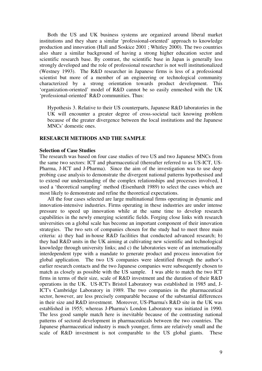Both the US and UK business systems are organized around liberal market institutions and they share a similar 'professional-oriented' approach to knowledge production and innovation (Hall and Soskice 2001 ; Whitley 2000). The two countries also share a similar background of having a strong higher education sector and scientific research base. By contrast, the scientific base in Japan is generally less strongly developed and the role of professional researcher is not well institutionalized (Westney 1993). The R&D researcher in Japanese firms is less of a professional scientist but more of a member of an engineering or technological community characterized by a strong orientation towards product development. This 'organization-oriented' model of R&D cannot be so easily enmeshed with the UK 'professional-oriented' R&D communities. Thus:

Hypothesis 3. Relative to their US counterparts, Japanese R&D laboratories in the UK will encounter a greater degree of cross-societal tacit knowing problem because of the greater divergence between the local institutions and the Japanese MNCs' domestic ones.

# **RESEARCH METHODS AND THE SAMPLE**

#### **Selection of Case Studies**

The research was based on four case studies of two US and two Japanese MNCs from the same two sectors: ICT and pharmaceutical (thereafter referred to as US-ICT, US-Pharma, J-ICT and J-Pharma). Since the aim of the investigation was to use deep probing case analysis to demonstrate the divergent national patterns hypothesised and to extend our understanding of the complex relationships and processes involved, I used a 'theoretical sampling' method (Eisenhardt 1989) to select the cases which are most likely to demonstrate and refine the theoretical expectations.

 All the four cases selected are large multinational firms operating in dynamic and innovation-intensive industries. Firms operating in these industries are under intense pressure to speed up innovation while at the same time to develop research capabilities in the newly emerging scientific fields. Forging close links with research universities on a global scale has become an important component of their innovation strategies. The two sets of companies chosen for the study had to meet three main criteria: a) they had in-house R&D facilities that conducted advanced research; b) they had R&D units in the UK aiming at cultivating new scientific and technological knowledge through university links; and c) the laboratories were of an internationally interdependent type with a mandate to generate product and process innovation for global application. The two US companies were identified through the author's earlier research contacts and the two Japanese companies were subsequently chosen to match as closely as possible with the US sample. I was able to match the two ICT firms in terms of their size, scale of R&D investment and the duration of their R&D operations in the UK. US-ICT's Bristol Laboratory was established in 1985 and, J-ICT's Cambridge Laboratory in 1989. The two companies in the pharmaceutical sector, however, are less precisely comparable because of the substantial differences in their size and R&D investment. Moreover, US-Pharma's R&D site in the UK was established in 1955; whereas J-Pharma's London Laboratory was initiated in 1990. The less good sample match here is inevitable because of the contrasting national patterns of sectoral development in pharmaceuticals between the two countries. The Japanese pharmaceutical industry is much younger, firms are relatively small and the scale of R&D investment is not comparable to the US global giants. These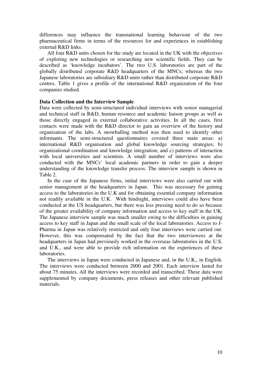differences may influence the transnational learning behaviour of the two pharmaceutical firms in terms of the resources for and experiences in establishing external R&D links.

 All four R&D units chosen for the study are located in the UK with the objectives of exploring new technologies or researching new scientific fields. They can be described as 'knowledge incubators'. The two U.S. laboratories are part of the globally distributed corporate R&D headquarters of the MNCs; whereas the two Japanese laboratories are subsidiary R&D units rather than distributed corporate R&D centres. Table 1 gives a profile of the international R&D organization of the four companies studied.

#### **Data Collection and the Interview Sample**

Data were collected by semi-structured individual interviews with senior managerial and technical staff in R&D, human resource and academic liaison groups as well as those directly engaged in external collaborative activities. In all the cases, first contacts were made with the R&D director to gain an overview of the history and organization of the labs. A snowballing method was then used to identify other informants. The semi-structured questionnaires covered three main areas: a) international R&D organisation and global knowledge sourcing strategies; b) organizational coordination and knowledge integration; and c) patterns of interaction with local universities and scientists. A small number of interviews were also conducted with the MNCs' local academic partners in order to gain a deeper understanding of the knowledge transfer process. The interview sample is shown in Table 2.

 In the case of the Japanese firms, initial interviews were also carried out with senior management at the headquarters in Japan. This was necessary for gaining access to the laboratories in the U.K and for obtaining essential company information not readily available in the U.K. With hindsight, interviews could also have been conducted at the US headquarters, but there was less pressing need to do so because of the greater availability of company information and access to key staff in the UK. The Japanese interview sample was much smaller owing to the difficulties in gaining access to key staff in Japan and the small scale of the local laboratories. Access to J-Pharma in Japan was relatively restricted and only four interviews were carried out. However, this was compensated by the fact that the two interviewees at the headquarters in Japan had previously worked in the overseas laboratories in the U.S. and U.K., and were able to provide rich information on the experiences of these laboratories.

 The interviews in Japan were conducted in Japanese and, in the U.K., in English. The interviews were conducted between 2000 and 2001. Each interview lasted for about 75 minutes. All the interviews were recorded and transcribed. These data were supplemented by company documents, press releases and other relevant published materials.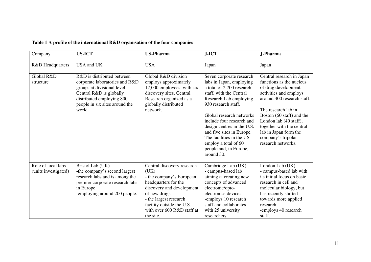| Company                                    | <b>US-ICT</b>                                                                                                                                                                                   | <b>US-Pharma</b>                                                                                                                                                                                                                      | J-ICT                                                                                                                                                                                                                                                                                                                                                                         | J-Pharma                                                                                                                                                                                                                                                                                                             |
|--------------------------------------------|-------------------------------------------------------------------------------------------------------------------------------------------------------------------------------------------------|---------------------------------------------------------------------------------------------------------------------------------------------------------------------------------------------------------------------------------------|-------------------------------------------------------------------------------------------------------------------------------------------------------------------------------------------------------------------------------------------------------------------------------------------------------------------------------------------------------------------------------|----------------------------------------------------------------------------------------------------------------------------------------------------------------------------------------------------------------------------------------------------------------------------------------------------------------------|
| R&D Headquarters                           | <b>USA</b> and UK                                                                                                                                                                               | <b>USA</b>                                                                                                                                                                                                                            | Japan                                                                                                                                                                                                                                                                                                                                                                         | Japan                                                                                                                                                                                                                                                                                                                |
| Global R&D<br>structure                    | R&D is distributed between<br>corporate laboratories and R&D<br>groups at divisional level.<br>Central R&D is globally<br>distributed employing 800<br>people in six sites around the<br>world. | Global R&D division<br>employs approximately<br>12,000 employees, with six<br>discovery sites. Central<br>Research organized as a<br>globally distributed<br>network.                                                                 | Seven corporate research<br>labs in Japan, employing<br>a total of 2,700 research<br>staff, with the Central<br>Research Lab employing<br>930 research staff.<br>Global research networks<br>include four research and<br>design centres in the U.S.<br>and five sites in Europe.<br>The facilities in the US<br>employ a total of 60<br>people and, in Europe,<br>around 30. | Central research in Japan<br>functions as the nucleus<br>of drug development<br>activities and employs<br>around 400 research staff.<br>The research lab in<br>Boston (60 staff) and the<br>London lab (40 staff),<br>together with the central<br>lab in Japan form the<br>company's tripolar<br>research networks. |
| Role of local labs<br>(units investigated) | Bristol Lab (UK)<br>-the company's second largest<br>research labs and is among the<br>premier corporate research labs<br>in Europe<br>-employing around 200 people.                            | Central discovery research<br>(UK)<br>- the company's European<br>headquarters for the<br>discovery and development<br>of new drugs<br>- the largest research<br>facility outside the U.S.<br>with over 600 R&D staff at<br>the site. | Cambridge Lab (UK)<br>- campus-based lab<br>aiming at creating new<br>concepts of advanced<br>electronic/opto-<br>electronics devices<br>-employs 10 research<br>staff and collaborates<br>with 25 university<br>researchers.                                                                                                                                                 | London Lab (UK)<br>- campus-based lab with<br>its initial focus on basic<br>research in cell and<br>molecular biology, but<br>has recently shifted<br>towards more applied<br>research<br>-employs 40 research<br>staff.                                                                                             |

# **Table 1 A profile of the international R&D organisation of the four companies**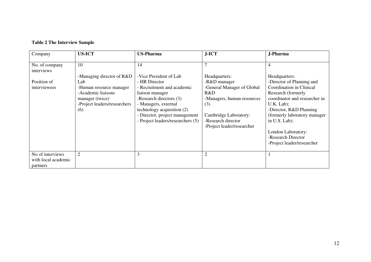|  |  | <b>Table 2 The Interview Sample</b> |  |
|--|--|-------------------------------------|--|
|--|--|-------------------------------------|--|

| Company                                             | <b>US-ICT</b>                                                                                                  | <b>US-Pharma</b>                                                                                                                                                                                                       | J-ICT                                                                                                                                 | J-Pharma                                                                                                                                                                                                  |
|-----------------------------------------------------|----------------------------------------------------------------------------------------------------------------|------------------------------------------------------------------------------------------------------------------------------------------------------------------------------------------------------------------------|---------------------------------------------------------------------------------------------------------------------------------------|-----------------------------------------------------------------------------------------------------------------------------------------------------------------------------------------------------------|
| No. of company<br>interviews                        | 10                                                                                                             | 14                                                                                                                                                                                                                     |                                                                                                                                       | 4                                                                                                                                                                                                         |
|                                                     | -Managing director of R&D                                                                                      | -Vice President of Lab                                                                                                                                                                                                 | Headquarters:                                                                                                                         | Headquarters:                                                                                                                                                                                             |
| Position of<br>interviewees                         | Lab<br>-Human resource manager<br>-Academic liaisons<br>manager (twice)<br>-Project leaders/researchers<br>(6) | - HR Director<br>- Recruitment and academic<br>liaison manager<br>-Research directors (3)<br>- Managers, external<br>technology acquisition (2)<br>- Director, project management<br>- Project leaders/researchers (5) | -R&D manager<br>-General Manager of Global<br>R&D<br>-Managers, human resources<br>(3)<br>Cambridge Laboratory:<br>-Research director | -Director of Planning and<br>Coordination in Clinical<br>Research (formerly<br>coordinator and researcher in<br>U.K. Lab);<br>-Director, R&D Planning<br>(formerly laboratory manager)<br>in $U.S.$ Lab); |
|                                                     |                                                                                                                |                                                                                                                                                                                                                        | -Project leader/researcher                                                                                                            | London Laboratory:<br>-Research Director<br>-Project leader/researcher                                                                                                                                    |
| No of interviews<br>with local academic<br>partners | $\overline{2}$                                                                                                 | 3                                                                                                                                                                                                                      | $\overline{2}$                                                                                                                        |                                                                                                                                                                                                           |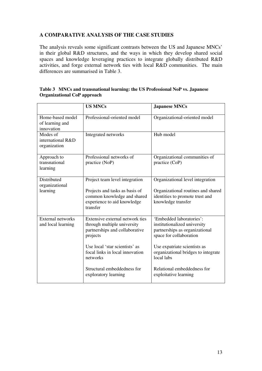# **A COMPARATIVE ANALYSIS OF THE CASE STUDIES**

The analysis reveals some significant contrasts between the US and Japanese MNCs' in their global R&D structures, and the ways in which they develop shared social spaces and knowledge leveraging practices to integrate globally distributed R&D activities, and forge external network ties with local R&D communities. The main differences are summarised in Table 3.

|                                                   | <b>US MNCs</b>                                                                                                                                                                                | <b>Japanese MNCs</b>                                                                                                                                                                                       |
|---------------------------------------------------|-----------------------------------------------------------------------------------------------------------------------------------------------------------------------------------------------|------------------------------------------------------------------------------------------------------------------------------------------------------------------------------------------------------------|
| Home-based model<br>of learning and<br>innovation | Professional-oriented model                                                                                                                                                                   | Organizational-oriented model                                                                                                                                                                              |
| Modes of<br>international R&D<br>organization     | Integrated networks                                                                                                                                                                           | Hub model                                                                                                                                                                                                  |
| Approach to<br>transnational<br>learning          | Professional networks of<br>practice (NoP)                                                                                                                                                    | Organizational communities of<br>practice (CoP)                                                                                                                                                            |
| Distributed<br>organizational<br>learning         | Project team level integration<br>Projects and tasks as basis of<br>common knowledge and shared<br>experience to aid knowledge<br>transfer                                                    | Organizational level integration<br>Organizational routines and shared<br>identities to promote trust and<br>knowledge transfer                                                                            |
| <b>External networks</b><br>and local learning    | Extensive external network ties<br>through multiple university<br>partnerships and collaborative<br>projects<br>Use local 'star scientists' as<br>focal links in local innovation<br>networks | 'Embedded laboratories':<br>institutionalized university<br>partnerships as organizational<br>space for collaboration<br>Use expatriate scientists as<br>organizational bridges to integrate<br>local labs |
|                                                   | Structural embeddedness for<br>exploratory learning                                                                                                                                           | Relational embeddedness for<br>exploitative learning                                                                                                                                                       |

**Table 3 MNCs and transnational learning: the US Professional NoP vs. Japanese Organizational CoP approach**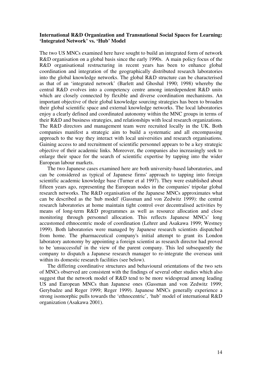# **International R&D Organization and Transnational Social Spaces for Learning: 'Integrated Network' vs. 'Hub' Model**

The two US MNCs examined here have sought to build an integrated form of network R&D organisation on a global basis since the early 1990s. A main policy focus of the R&D organisational restructuring in recent years has been to enhance global coordination and integration of the geographically distributed research laboratories into the global knowledge networks. The global R&D structure can be characterised as that of an 'integrated network' (Barlett and Ghoshal 1990; 1998) whereby the central R&D evolves into a competency centre among interdependent R&D units which are closely connected by flexible and diverse coordination mechanisms. An important objective of their global knowledge sourcing strategies has been to broaden their global scientific space and external knowledge networks. The local laboratories enjoy a clearly defined and coordinated autonomy within the MNC groups in terms of their R&D and business strategies, and relationships with local research organizations. The R&D directors and management team were recruited locally in the UK. Both companies manifest a strategic aim to build a systematic and all encompassing approach to the way they interact with local universities and research organisations. Gaining access to and recruitment of scientific personnel appears to be a key strategic objective of their academic links. Moreover, the companies also increasingly seek to enlarge their space for the search of scientific expertise by tapping into the wider European labour markets.

 The two Japanese cases examined here are both university-based laboratories, and can be considered as typical of Japanese firms' approach to tapping into foreign scientific academic knowledge base (Turner et al 1997). They were established about fifteen years ago, representing the European nodes in the companies' tripolar global research networks. The R&D organisation of the Japanese MNCs approximates what can be described as the 'hub model' (Gassman and von Zedwitz 1999): the central research laboratories at home maintain tight control over decentralised activities by means of long-term R&D programmes as well as resource allocation and close monitoring through personnel allocation. This reflects Japanese MNCs' long accustomed ethnocentric mode of coordination (Lehrer and Asakawa 1999; Westney 1999). Both laboratories were managed by Japanese research scientists dispatched from home. The pharmaceutical company's initial attempt to grant its London laboratory autonomy by appointing a foreign scientist as research director had proved to be 'unsuccessful' in the view of the parent company. This led subsequently the company to dispatch a Japanese research manager to re-integrate the overseas unit within its domestic research facilities (see below).

 The differing coordinative structures and behavioural orientations of the two sets of MNCs observed are consistent with the findings of several other studies which also suggest that the network model of R&D tend to be more widespread among leading US and European MNCs than Japanese ones (Gassman and von Zedwitz 1999; Gerybadze and Reger 1999; Reger 1999). Japanese MNCs generally experience a strong isomorphic pulls towards the 'ethnocentric', 'hub' model of international R&D organization (Asakawa 2001).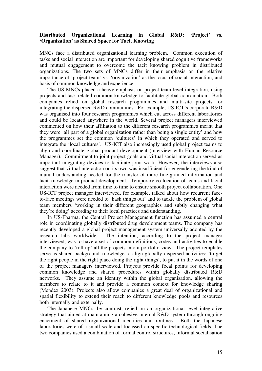# **Distributed Organizational Learning in Global R&D: 'Project' vs. 'Organization' as Shared Space for Tacit Knowing**

MNCs face a distributed organizational learning problem. Common execution of tasks and social interaction are important for developing shared cognitive frameworks and mutual engagement to overcome the tacit knowing problem in distributed organizations. The two sets of MNCs differ in their emphasis on the relative importance of 'project team' vs. 'organization' as the locus of social interaction, and basis of common knowledge and experience.

 The US MNCs placed a heavy emphasis on project team level integration, using projects and task-related common knowledge to facilitate global coordination. Both companies relied on global research programmes and multi-site projects for integrating the dispersed R&D communities. For example, US-ICT's corporate R&D was organised into four research programmes which cut across different laboratories and could be located anywhere in the world. Several project managers interviewed commented on how their affiliation to the different research programmes meant that they were 'all part of a global organization rather than being a single entity' and how the programmes set the common 'cultures' in which they operated and served to integrate the 'local cultures'. US-ICT also increasingly used global project teams to align and coordinate global product development (interview with Human Resource Manager). Commitment to joint project goals and virtual social interaction served as important integrating devices to facilitate joint work. However, the interviews also suggest that virtual interaction on its own was insufficient for engendering the kind of mutual understanding needed for the transfer of more fine-grained information and tacit knowledge in product development. Temporary co-location of teams and facial interaction were needed from time to time to ensure smooth project collaboration. One US-ICT project manager interviewed, for example, talked about how recurrent faceto-face meetings were needed to 'hash things out' and to tackle the problem of global team members 'working in their different geographies and subtly changing what they're doing' according to their local practices and understanding.

 In US-Pharma, the Central Project Management function has assumed a central role in coordinating globally distributed drug development teams. The company has recently developed a global project management system universally adopted by the research labs worldwide. The intention, according to the project manager interviewed, was to have a set of common definitions, codes and activities to enable the company to 'roll up' all the projects into a portfolio view. The project templates serve as shared background knowledge to align globally dispersed activities: 'to get the right people in the right place doing the right things', to put it in the words of one of the project managers interviewed. Projects provide focal points for developing common knowledge and shared procedures within globally distributed R&D networks. They assume an identity within the global organisation, allowing the members to relate to it and provide a common context for knowledge sharing (Mendex 2003). Projects also allow companies a great deal of organizational and spatial flexibility to extend their reach to different knowledge pools and resources both internally and externally.

 The Japanese MNCs, by contrast, relied on an organizational level integrative strategy that aimed at maintaining a cohesive internal R&D system through ongoing enactment of shared organizational identities and routines. Both the Japanese laboratories were of a small scale and focussed on specific technological fields. The two companies used a combination of formal control structures, informal socialisation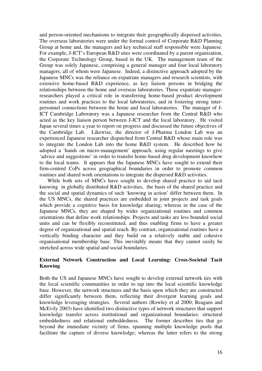and person-oriented mechanisms to integrate their geographically dispersed activities. The overseas laboratories were under the formal control of Corporate R&D Planning Group at home and, the managers and key technical staff responsible were Japanese. For example, J-ICT's European R&D sites were coordinated by a parent organization, the Corporate Technology Group, based in the UK. The management team of the Group was solely Japanese, comprising a general manager and four local laboratory managers, all of whom were Japanese. Indeed, a distinctive approach adopted by the Japanese MNCs was the reliance on expatriate managers and research scientists, with extensive home-based R&D experience, as key liaison persons in bridging the relationships between the home and overseas laboratories. These expatriate managerresearchers played a critical role in transferring home-based product development routines and work practices to the local laboratories, and in fostering strong interpersonnel connections between the home and local laboratories. The manager of J-ICT Cambridge Laboratory was a Japanese researcher from the Central R&D who acted as the key liaison person between J-ICT and the local laboratory. He visited Japan several times a year to report on progress and discussed the future objectives of the Cambridge Lab. Likewise, the director of J-Pharma London Lab was an experienced Japanese researcher dispatched from Central R&D whose main role was to integrate the London Lab into the home R&D system. He described how he adopted a 'hands on micro-management' approach, using regular meetings to give 'advice and suggestions' in order to transfer home-based drug development knowhow to the local teams. It appears that the Japanese MNCs have sought to extend their firm-centred CoPs across geographical boundaries in order to promote common routines and shared work orientations to integrate the dispersed R&D activities.

 While both sets of MNCs have sought to develop shared practice to aid tacit knowing in globally distributed R&D activities, the basis of the shared practice and the social and spatial dynamics of such 'knowing in action' differ between them. In the US MNCs, the shared practices are embedded in joint projects and task goals which provide a cognitive basis for knowledge sharing; whereas in the case of the Japanese MNCs, they are shaped by wider organizational routines and common orientations that define work relationships. Projects and tasks are less bounded social units and can be flexibly reconstituted, and thus enabling firms to have a greater degree of organizational and spatial reach. By contrast, organizational routines have a vertically binding character and they build on a relatively stable and cohesive organisational membership base. This inevitably means that they cannot easily be stretched across wide spatial and social boundaries.

# **External Network Construction and Local Learning: Cross-Societal Tacit Knowing**

Both the US and Japanese MNCs have sought to develop external network ties with the local scientific communities in order to tap into the local scientific knowledge base. However, the network structures and the basis upon which they are constructed differ significantly between them, reflecting their divergent learning goals and knowledge leveraging strategies. Several authors (Rowley et al 2000; Reagans and McEvily 2003) have identified two distinctive types of network structures that support knowledge transfer across institutional and organizational boundaries: structural embeddedness and relational embeddedness. The former describes ties that go beyond the immediate vicinity of firms, spanning multiple knowledge pools that facilitate the capture of diverse knowledge; whereas the latter refers to the strong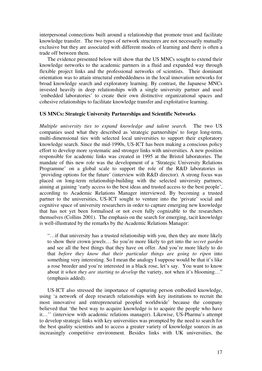interpersonal connections built around a relationship that promote trust and facilitate knowledge transfer. The two types of network structures are not necessarily mutually exclusive but they are associated with different modes of learning and there is often a trade off between them.

 The evidence presented below will show that the US MNCs sought to extend their knowledge networks to the academic partners in a fluid and expanded way through flexible project links and the professional networks of scientists. Their dominant orientation was to attain structural embeddedness in the local innovation networks for broad knowledge search and exploratory learning. By contrast, the Japanese MNCs invested heavily in deep relationships with a single university partner and used 'embedded laboratories' to create their own distinctive organizational spaces and cohesive relationships to facilitate knowledge transfer and exploitative learning.

## **US MNCs: Strategic University Partnerships and Scientific Networks**

*Multiple university ties to expand knowledge and talent search.* The two US companies used what they described as 'strategic partnerships' to forge long-term, multi-dimensional ties with selected local universities to support their exploratory knowledge search. Since the mid-1990s, US-ICT has been making a conscious policy effort to develop more systematic and stronger links with universities. A new position responsible for academic links was created in 1995 at the Bristol laboratories. The mandate of this new role was the development of a 'Strategic University Relations Programme' on a global scale to support the role of the R&D laboratories in 'providing options for the future' (interview with R&D director). A strong focus was placed on long-term relationship-building with the selected university partners, aiming at gaining 'early access to the best ideas and trusted access to the best people', according to Academic Relations Manager interviewed. By becoming a trusted partner to the universities, US-ICT sought to venture into the 'private' social and cognitive space of university researchers in order to capture emerging new knowledge that has not yet been formalised or not even fully cognizable to the researchers themselves (Collins 2001). The emphasis on the search for emerging, tacit knowledge is well-illustrated by the remarks by the Academic Relations Manager:

"…if that university has a trusted relationship with you, then they are more likely to show their crown jewels… So you're more likely to get into the *secret garden* and see all the best things that they have on offer. And you're more likely to do that *before they know that their particular things are going to ripen* into something very interesting. So I mean the analogy I suppose would be that it's like a rose breeder and you're interested in a black rose, let's say. You want to know about it *when they are starting to develop* the variety, not when it's blooming…" (emphasis added).

 US-ICT also stressed the importance of capturing person embodied knowledge, using 'a network of deep research relationships with key institutions to recruit the most innovative and entrepreneurial peopled worldwide' because the company believed that 'the best way to acquire knowledge is to acquire the people who have it…'' (interview with academic relations manager). Likewise, US-Pharma's attempt to develop strategic links with key universities was prompted by the need to search for the best quality scientists and to access a greater variety of knowledge sources in an increasingly competitive environment. Besides links with UK universities, the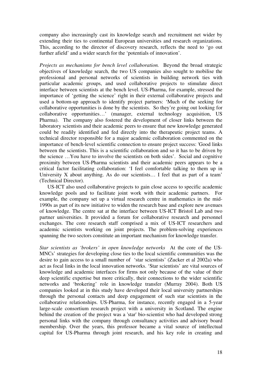company also increasingly cast its knowledge search and recruitment net wider by extending their ties to continental European universities and research organizations. This, according to the director of discovery research, reflects the need to 'go out further afield' and a wider search for the 'potentials of innovation'.

*Projects as mechanisms for bench level collaboration.* Beyond the broad strategic objectives of knowledge search, the two US companies also sought to mobilise the professional and personal networks of scientists in building network ties with particular academic groups, and used collaborative projects to stimulate direct interface between scientists at the bench level. US-Pharma, for example, stressed the importance of 'getting the science' right in their external collaborative projects and used a bottom-up approach to identify project partners: 'Much of the seeking for collaborative opportunities is done by the scientists. So they're going out looking for collaborative opportunities…' (manager, external technology acquisition, US Pharma). The company also fostered the development of closer links between the laboratory scientists and their academic peers to ensure that new knowledge generated could be readily identified and fed directly into the therapeutic project teams. A technical director responsible for a major academic collaboration commented on the importance of bench-level scientific connection to ensure project success: 'Good links between the scientists. This is a scientific collaboration and so it has to be driven by the science …You have to involve the scientists on both sides'. Social and cognitive proximity between US-Pharma scientists and their academic peers appears to be a critical factor facilitating collaboration: 'I feel comfortable talking to them up in University X about anything. As do our scientists… I feel that as part of a team' (Technical Director).

 US-ICT also used collaborative projects to gain close access to specific academic knowledge pools and to facilitate joint work with their academic partners. For example, the company set up a virtual research centre in mathematics in the mid-1990s as part of its new initiative to widen the research base and explore new avenues of knowledge. The centre sat at the interface between US-ICT Bristol Lab and two partner universities. It provided a forum for collaborative research and personnel exchanges. The core research staff comprised a mix of US-ICT researchers and academic scientists working on joint projects. The problem-solving experiences spanning the two sectors constitute an important mechanism for knowledge transfer.

*Star scientists as 'brokers' in open knowledge networks* At the core of the US-MNCs' strategies for developing close ties to the local scientific communities was the desire to gain access to a small number of 'star scientists' (Zucker et al 2002a) who act as focal links in the local innovation networks. 'Star scientists' are vital sources of knowledge and academic interfaces for firms not only because of the value of their deep scientific expertise but more critically, their connections to the wider scientific networks and 'brokering' role in knowledge transfer (Murray 2004). Both US companies looked at in this study have developed their local university partnerships through the personal contacts and deep engagement of such star scientists in the collaborative relationships. US-Pharma, for instance, recently engaged in a 5-year large-scale consortium research project with a university in Scotland. The engine behind the creation of the project was a 'star' bio-scientist who had developed strong personal links with the company through consultancy activities and advisory board membership. Over the years, this professor became a vital source of intellectual capital for US-Pharma through joint research, and his key role in creating and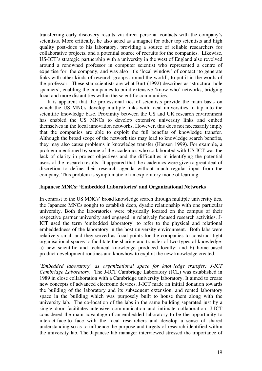transferring early discovery results via direct personal contacts with the company's scientists. More critically, he also acted as a magnet for other top scientists and high quality post-docs to his laboratory, providing a source of reliable researchers for collaborative projects, and a potential source of recruits for the companies. Likewise, US-ICT's strategic partnership with a university in the west of England also revolved around a renowned professor in computer scientist who represented a centre of expertise for the company, and was also it's 'local window' of contact 'to generate links with other kinds of research groups around the world', to put it in the words of the professor. These star scientists are what Burt (1992) describes as 'structural hole spanners', enabling the companies to build extensive 'know-who' networks, bridging local and more distant ties within the scientific communities.

 It is apparent that the professional ties of scientists provide the main basis on which the US MNCs develop multiple links with local universities to tap into the scientific knowledge base. Proximity between the US and UK research environment has enabled the US MNCs to develop extensive university links and embed themselves in the local innovation networks. However, this does not necessarily imply that the companies are able to exploit the full benefits of knowledge transfer. Although the broad scope of the network ties may lead to knowledge search benefits, they may also cause problems in knowledge transfer (Hansen 1999). For example, a problem mentioned by some of the academics who collaborated with US-ICT was the lack of clarity in project objectives and the difficulties in identifying the potential users of the research results. It appeared that the academics were given a great deal of discretion to define their research agenda without much regular input from the company. This problem is symptomatic of an exploratory mode of learning.

# **Japanese MNCs: 'Embedded Laboratories' and Organizational Networks**

In contrast to the US MNCs' broad knowledge search through multiple university ties, the Japanese MNCs sought to establish deep, dyadic relationship with one particular university. Both the laboratories were physically located on the campus of their respective partner university and engaged in relatively focused research activities. J-ICT used the term 'embedded laboratory' to refer to the physical and relational embeddedness of the laboratory in the host university environment. Both labs were relatively small and they served as focal points for the companies to construct tight organisational spaces to facilitate the sharing and transfer of two types of knowledge: a) new scientific and technical knowledge produced locally; and b) home-based product development routines and knowhow to exploit the new knowledge created.

*'Embedded laboratory' as organizational space for knowledge transfer: J-ICT Cambridge Laboratory*. The J-ICT Cambridge Laboratory (JCL) was established in 1989 in close collaboration with a Cambridge university laboratory. It aimed to create new concepts of advanced electronic devices. J-ICT made an initial donation towards the building of the laboratory and its subsequent extension, and rented laboratory space in the building which was purposely built to house them along with the university lab. The co-location of the labs in the same building separated just by a single door facilitates intensive communication and intimate collaboration. J-ICT considered the main advantage of an embedded laboratory to be the opportunity to interact-face-to face with the local researchers and develop a sense of shared understanding so as to influence the purpose and targets of research identified within the university lab. The Japanese lab manager interviewed stressed the importance of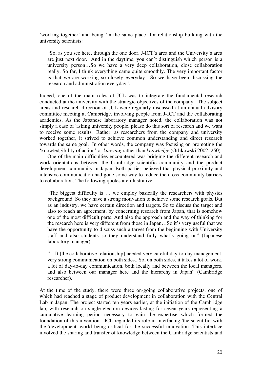'working together' and being 'in the same place' for relationship building with the university scientists:

"So, as you see here, through the one door, J-ICT's area and the University's area are just next door. And in the daytime, you can't distinguish which person is a university person…So we have a very deep collaboration, close collaboration really. So far, I think everything came quite smoothly. The very important factor is that we are working so closely everyday…So we have been discussing the research and administration everyday".

Indeed, one of the main roles of JCL was to integrate the fundamental research conducted at the university with the strategic objectives of the company. The subject areas and research direction of JCL were regularly discussed at an annual advisory committee meeting at Cambridge, involving people from J-ICT and the collaborating academics. As the Japanese laboratory manager noted, the collaboration was not simply a case of 'asking university people, please do this sort of research and we want to receive some results'. Rather, as researchers from the company and university worked together, it strived to achieve common understanding and direct research towards the same goal. In other words, the company was focusing on promoting the 'knowledgibility of action' or *knowing* rather than *knowledge* (Orlikowski 2002: 250).

 One of the main difficulties encountered was bridging the different research and work orientations between the Cambridge scientific community and the product development community in Japan. Both parties believed that physical proximity and intensive communication had gone some way to reduce the cross-community barriers to collaboration. The following quotes are illustrative:

"The biggest difficulty is … we employ basically the researchers with physics background. So they have a strong motivation to achieve some research goals. But as an industry, we have certain direction and targets. So to discuss the target and also to reach an agreement, by concerning research from Japan, that is somehow one of the most difficult parts. And also the approach and the way of thinking for the research here is very different from those in Japan…So it's very useful that we have the opportunity to discuss such a target from the beginning with University staff and also students so they understand fully what's going on" (Japanese laboratory manager).

"…It [the collaborative relationship] needed very careful day-to-day management, very strong communication on both sides.. So, on both sides, it takes a lot of work, a lot of day-to-day communication, both locally and between the local managers, and also between our manager here and the hierarchy in Japan" (Cambridge researcher).

At the time of the study, there were three on-going collaborative projects, one of which had reached a stage of product development in collaboration with the Central Lab in Japan. The project started ten years earlier, at the initiation of the Cambridge lab, with research on single electron devices lasting for seven years representing a cumulative learning period necessary to gain the expertise which formed the foundation of this invention. JCL regarded its role in interfacing 'the scientific' with the 'development' world being critical for the successful innovation. This interface involved the sharing and transfer of knowledge between the Cambridge scientists and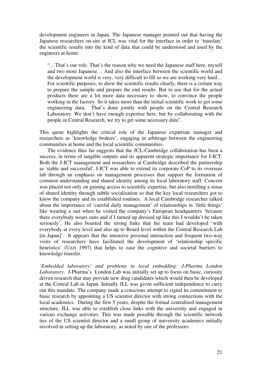development engineers in Japan. The Japanese manager pointed out that having the Japanese researchers on-site at JCL was vital for the interface in order to 'translate' the scientific results into the kind of data that could be understood and used by the engineers at home:

"…That's our role. That's the reason why we need the Japanese staff here, myself and two more Japanese… And also the interface between the scientific world and the development world is very, very difficult to fill so we are working very hard… For scientific purposes, to show the scientific results clearly, there is a certain way to prepare the sample and prepare the end results. But to use that for the actual products there are a lot more data necessary to show, to convince the people working in the factory. So it takes more than the initial scientific work to get some engineering data. That's done jointly with people on the Central Research Laboratory. We don't have enough expertise here, but by collaborating with the people in Central Research, we try to get some necessary data".

This quote highlights the critical role of the Japanese expatriate manager and researchers as 'knowledge brokers', engaging in arbitrage between the engineering communities at home and the local scientific communities.

 The evidence thus far suggests that the JCL-Cambridge collaboration has been a success, in terms of tangible outputs and its apparent strategic importance for J-ICT. Both the J-ICT management and researchers at Cambridge described the partnership as 'stable and successful'. J-ICT was able to extend its corporate CoP to its overseas lab through an emphasis on management processes that support the formation of common understanding and shared identity among its local laboratory staff. Concern was placed not only on gaining access to scientific expertise, but also instilling a sense of shared identity through subtle socialisation so that the key local researchers got to know the company and its established routines. A local Cambridge researcher talked about the importance of 'careful daily management' of relationships in 'little things' like wearing a suit when he visited the company's European headquarters 'because there everybody wears suits and if I turned up dressed up like this I wouldn't be taken seriously'. He also boasted the strong links that his team had developed 'with everybody at every level and also up to Board level within the Central Research Lab [in Japan]'. It appears that the intensive personal interaction and frequent two-way visits of researchers have facilitated the development of 'relationship specific heuristics' (Uzzi 1997) that helps to ease the cognitive and societal barriers to knowledge transfer.

*'Embedded laboratory' and problems in local embedding: J-Pharma London Laboratory*. J-Pharma's London Lab was initially set up to focus on basic, curiosity driven research that may provide new drug candidates which would then be developed at the Central Lab in Japan. Initially JLL was given sufficient independence to carry out this mandate. The company made a conscious attempt to signal its commitment to basic research by appointing a US scientist director with strong connections with the local academics. During the first 5 years, despite the formal centralised management structure, JLL was able to establish close links with the university and engaged in various exchange activities. This was made possible through the scientific network ties of the US scientist director and a small group of university academics initially involved in setting up the laboratory, as noted by one of the professors: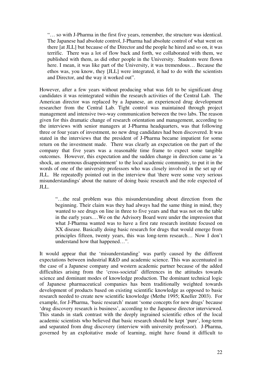"… so with J-Pharma in the first five years, remember, the structure was identical. The Japanese had absolute control, J-Pharma had absolute control of what went on there [at JLL] but because of the Director and the people he hired and so on, it was terrific. There was a lot of flow back and forth, we collaborated with them, we published with them, as did other people in the University. Students were flown here. I mean, it was like part of the University, it was tremendous… Because the ethos was, you know, they [JLL] were integrated, it had to do with the scientists and Director, and the way it worked out".

However, after a few years without producing what was felt to be significant drug candidates it was reintegrated within the research activities of the Central Lab. The American director was replaced by a Japanese, an experienced drug development researcher from the Central Lab. Tight control was maintained through project management and intensive two-way communication between the two labs. The reason given for this dramatic change of research orientation and management, according to the interviews with senior managers at J-Pharma headquarters, was that following three or four years of investment, no new drug candidates had been discovered. It was stated in the interviews that the president of J-Pharma became impatient for some return on the investment made. There was clearly an expectation on the part of the company that five years was a reasonable time frame to expect some tangible outcomes. However, this expectation and the sudden change in direction came as 'a shock, an enormous disappointment' to the local academic community, to put it in the words of one of the university professors who was closely involved in the set up of JLL. He repeatedly pointed out in the interview that 'there were some very serious misunderstandings' about the nature of doing basic research and the role expected of JLL.

"…the real problem was this misunderstanding about direction from the beginning. Their claim was they had always had the same thing in mind, they wanted to see drugs on line in three to five years and that was not on the table in the early years.…We on the Advisory Board were under the impression that what J-Pharma wanted was to have a first rate research institute focused on XX disease. Basically doing basic research for drugs that would emerge from principles fifteen, twenty years, this was long-term research… Now I don't understand how that happened…".

It would appear that the 'misunderstanding' was partly caused by the different expectations between industrial R&D and academic science. This was accentuated in the case of a Japanese company and western academic partner because of the added difficulties arising from the 'cross-societal' differences in the attitudes towards science and dominant modes of knowledge production. The dominant technical logic of Japanese pharmaceutical companies has been traditionally weighted towards development of products based on existing scientific knowledge as opposed to basic research needed to create new scientific knowledge (Methe 1995; Kneller 2003). For example, for J-Pharma, 'basic research' meant 'some concepts for new drugs' because 'drug discovery research is business', according to the Japanese director interviewed. This stands in stark contrast with the deeply ingrained scientific ethos of the local academic scientists who believed that basic research should be kept 'pure', long-term and separated from drug discovery (interview with university professor). J-Pharma, governed by an exploitative mode of learning, might have found it difficult to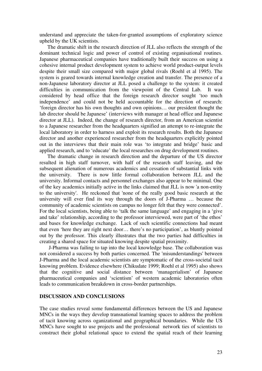understand and appreciate the taken-for-granted assumptions of exploratory science upheld by the UK scientists.

 The dramatic shift in the research direction of JLL also reflects the strength of the dominant technical logic and power of control of existing organisational routines. Japanese pharmaceutical companies have traditionally built their success on using a cohesive internal product development system to achieve world product-output levels despite their small size compared with major global rivals (Roehl et al 1995). The system is geared towards internal knowledge creation and transfer. The presence of a non-Japanese laboratory director at JLL posed a challenge to the system: it created difficulties in communication from the viewpoint of the Central Lab. It was considered by head office that the foreign research director sought 'too much independence' and could not be held accountable for the direction of research: 'foreign director has his own thoughts and own opinions… our president thought the lab director should be Japanese' (interviews with manager at head office and Japanese director at JLL). Indeed, the change of research director, from an American scientist to a Japanese researcher from the headquarters signified an attempt to re-integrate the local laboratory in order to harness and exploit its research results. Both the Japanese director and another experienced researcher from the headquarters explicitly pointed out in the interviews that their main role was 'to integrate and bridge' basic and applied research, and to 'educate' the local researches on drug development routines.

 The dramatic change in research direction and the departure of the US director resulted in high staff turnover, with half of the research staff leaving, and the subsequent alienation of numerous academics and cessation of substantial links with the university. There is now little formal collaboration between JLL and the university. Informal contacts and personnel exchanges also appear to be minimal. One of the key academics initially active in the links claimed that JLL is now 'a non-entity to the university'. He reckoned that 'none of the really good basic research at the university will ever find its way through the doors of J-Pharma … because the community of academic scientists on campus no longer felt that they were connected'. For the local scientists, being able to 'talk the same language' and engaging in a 'give and take' relationship, according to the professor interviewed, were part of 'the ethos' and bases for knowledge exchange. Lack of such scientific connections had meant that even 'here they are right next door… there's no participation', as bluntly pointed out by the professor. This clearly illustrates that the two parties had difficulties in creating a shared space for situated knowing despite spatial proximity.

 J-Pharma was failing to tap into the local knowledge base. The collaboration was not considered a success by both parties concerned. The 'misunderstandings' between J-Pharma and the local academic scientists are symptomatic of the cross-societal tacit knowing problem. Evidence elsewhere (Chikudate 1999; Roehl et al 1995) also shows that the cognitive and social distance between 'managerialism' of Japanese pharmaceutical companies and 'scientism' of western academic laboratories often leads to communication breakdown in cross-border partnerships.

# **DISCUSSION AND CONCLUSIONS**

The case studies reveal some fundamental differences between the US and Japanese MNCs in the ways they develop transnational learning spaces to address the problem of tacit knowing across oganizational and geographical boundaries. While the US MNCs have sought to use projects and the professional network ties of scientists to construct their global relational space to extend the spatial reach of their learning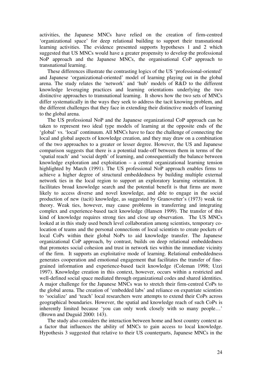activities, the Japanese MNCs have relied on the creation of firm-centred 'organizational space' for deep relational building to support their transnational learning activities. The evidence presented supports hypotheses 1 and 2 which suggested that US MNCs would have a greater propensity to develop the professional NoP approach and the Japanese MNCs, the organisational CoP approach to transnational learning.

 These differences illustrate the contrasting logics of the US 'professional-oriented' and Japanese 'organizational-oriented' model of learning playing out in the global arena. The study relates the 'network' and 'hub' models of R&D to the different knowledge leveraging practices and learning orientations underlying the two distinctive approaches to transnational learning. It shows how the two sets of MNCs differ systematically in the ways they seek to address the tacit knowing problem, and the different challenges that they face in extending their distinctive models of learning to the global arena.

 The US professional NoP and the Japanese organizational CoP approach can be taken to represent two ideal type models of learning at the opposite ends of the 'global' vs. 'local' continuum. All MNCs have to face the challenge of connecting the local and global aspects of knowledge creation, and they may draw on a combination of the two approaches to a greater or lesser degree. However, the US and Japanese comparison suggests that there is a potential trade-off between them in terms of the 'spatial reach' and 'social depth' of learning, and consequentially the balance between knowledge exploration and exploitation – a central organizational learning tension highlighted by March (1991). The US professional NoP approach enables firms to achieve a higher degree of structural embeddedness by building multiple external network ties in the local region to support an exploratory learning orientation. It facilitates broad knowledge search and the potential benefit is that firms are more likely to access diverse and novel knowledge, and able to engage in the social production of new (tacit) knowledge, as suggested by Granovetter's (1973) weak tie theory. Weak ties, however, may cause problems in transferring and integrating complex and experience-based tacit knowledge (Hansen 1999). The transfer of this kind of knowledge requires strong ties and close up observation. The US MNCs looked at in this study used bench level collaboration among scientists, temporary colocation of teams and the personal connections of local scientists to create pockets of local CoPs within their global NoPs to aid knowledge transfer. The Japanese organizational CoP approach, by contrast, builds on deep relational embeddedness that promotes social cohesion and trust in network ties within the immediate vicinity of the firm. It supports an exploitative mode of learning. Relational embeddedness generates cooperation and emotional engagement that facilitates the transfer of finegrained information and experience-based tacit knowledge (Coleman 1998; Uzzi 1997). Knowledge creation in this context, however, occurs within a restricted and well-defined social space mediated through organizational codes and shared identities. A major challenge for the Japanese MNCs was to stretch their firm-centred CoPs to the global arena. The creation of 'embedded labs' and reliance on expatriate scientists to 'socialize' and 'teach' local researchers were attempts to extend their CoPs across geographical boundaries. However, the spatial and knowledge reach of such CoPs is inherently limited because 'you can only work closely with so many people…' (Brown and Duguid 2000: 143).

 The study also considers the interaction between home and host country context as a factor that influences the ability of MNCs to gain access to local knowledge. Hypothesis 3 suggested that relative to their US counterparts, Japanese MNCs in the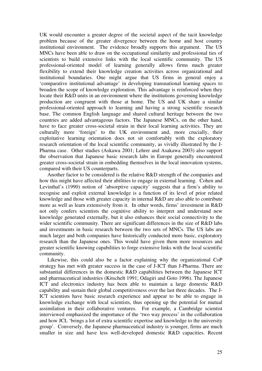UK would encounter a greater degree of the societal aspect of the tacit knowledge problem because of the greater divergence between the home and host country institutional environment. The evidence broadly supports this argument. The US MNCs have been able to draw on the occupational similarity and professional ties of scientists to build extensive links with the local scientific community. The US professional-oriented model of learning generally allows firms much greater flexibility to extend their knowledge creation activities across organizational and institutional boundaries. One might argue that US firms in general enjoy a 'comparative institutional advantage' in developing transnational learning spaces to broaden the scope of knowledge exploration. This advantage is reinforced when they locate their R&D units in an environment where the institutions governing knowledge production are congruent with those at home. The US and UK share a similar professional-oriented approach to learning and having a strong scientific research base. The common English language and shared cultural heritage between the two countries are added advantageous factors. The Japanese MNCs, on the other hand, have to face greater cross-societal strain in their local learning activities. They are culturally more 'foreign' to the UK environment and, more crucially, their exploitative learning orientation does not sit comfortably with the exploratory research orientation of the local scientific community, as vividly illustrated by the J-Pharma case. Other studies (Askawa 2001; Lehrer and Asakawa 2003) also support the observation that Japanese basic research labs in Europe generally encountered greater cross-societal strain in embedding themselves in the local innovation systems, compared with their US counterparts.

 Another factor to be considered is the relative R&D strength of the companies and how this might have affected their abilities to engage in external learning. Cohen and Levinthal's (1990) notion of 'absorptive capacity' suggests that a firm's ability to recognise and exploit external knowledge is a function of its level of prior related knowledge and those with greater capacity in internal R&D are also able to contribute more as well as learn extensively from it. In other words, firms' investment in R&D not only confers scientists the cognitive ability to interpret and understand new knowledge generated externally, but it also enhances their social connectivity to the wider scientific community. There are significant differences in the size of R&D labs and investments in basic research between the two sets of MNCs. The US labs are much larger and both companies have historically conducted more basic, exploratory research than the Japanese ones. This would have given them more resources and greater scientific knowing capabilities to forge extensive links with the local scientific community.

 Likewise, this could also be a factor explaining why the organizational CoP strategy has met with greater success in the case of J-ICT than J-Pharma. There are substantial differences in the domestic R&D capabilities between the Japanese ICT and pharmaceutical industries (Kitschelt 1991; Odagiri and Goto 1996). The Japanese ICT and electronics industry has been able to maintain a large domestic R&D capability and sustain their global competitiveness over the last three decades. The J-ICT scientists have basic research experience and appear to be able to engage in knowledge exchange with local scientists, thus opening up the potential for mutual assimilation in their collaborative ventures. For example, a Cambridge scientist interviewed emphasized the importance of the 'two way process' in the collaboration and how JCL 'brings a lot of extra scientific expertise and knowledge to the university group'. Conversely, the Japanese pharmaceutical industry is younger, firms are much smaller in size and have less well-developed domestic R&D capacities. Recent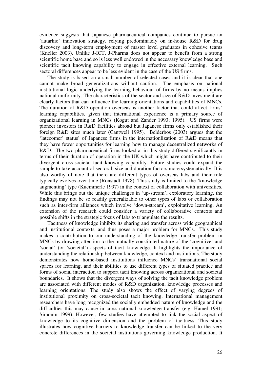evidence suggests that Japanese pharmaceutical companies continue to pursue an 'autarkic' innovation strategy, relying predominately on in-house R&D for drug discovery and long-term employment of master level graduates in cohesive teams (Kneller 2003). Unlike J-ICT, J-Pharma does not appear to benefit from a strong scientific home base and so is less well endowed in the necessary knowledge base and scientific tacit knowing capability to engage in effective external learning. Such sectoral differences appear to be less evident in the case of the US firms.

 The study is based on a small number of selected cases and it is clear that one cannot make broad generalizations without caution. The emphasis on national institutional logic underlying the learning behaviour of firms by no means implies national uniformity. The characteristics of the sector and size of R&D investment are clearly factors that can influence the learning orientations and capabilities of MNCs. The duration of R&D operation overseas is another factor that could affect firms' learning capabilities, given that international experience is a primary source of organizational learning in MNCs (Kogut and Zander 1993; 1995). US firms were pioneer investors in R&D facilities abroad but Japanese firms only established their foreign R&D sites much later (Cantwell 1995). Belderbos (2003) argues that the 'latecomer' status' of Japanese firms in the internationlization of R&D means that they have fewer opportunities for learning how to manage decentralized networks of R&D. The two pharmaceutical firms looked at in this study differed significantly in terms of their duration of operation in the UK which might have contributed to their divergent cross-societal tacit knowing capability. Future studies could expand the sample to take account of sectoral, size and duration factors more systematically. It is also worthy of note that there are different types of overseas labs and their role typically evolves over time (Ronstadt 1978). This study is limited to the 'knowledge augmenting' type (Kuemmerle 1997) in the context of collaboration with universities. While this brings out the unique challenges in 'up-stream', exploratory learning, the findings may not be so readily generalizable to other types of labs or collaboration such as inter-firm alliances which involve 'down-stream', exploitative learning. An extension of the research could consider a variety of collaborative contexts and possible shifts in the strategic focus of labs to triangulate the results.

 Tacitness of knowledge inhibits its sharing and transfer across wide geographical and institutional contexts, and thus poses a major problem for MNCs. This study makes a contribution to our understanding of the knowledge transfer problem in MNCs by drawing attention to the mutually constituted nature of the 'cognitive' and 'social' (or 'societal') aspects of tacit knowledge. It highlights the importance of understanding the relationship between knowledge, context and institutions. The study demonstrates how home-based institutions influence MNCs' transnational social spaces for learning, and their abilities to use different types of situated practice and forms of social interaction to support tacit knowing across organizational and societal boundaries. It shows that the divergent ways of solving the tacit knowledge problem are associated with different modes of R&D organization, knowledge processes and learning orientations. The study also shows the effect of varying degrees of institutional proximity on cross-societal tacit knowing. International management researchers have long recognized the socially embedded nature of knowledge and the difficulties this may cause in cross-national knowledge transfer (e.g. Hamel 1991; Simonin 1999). However, few studies have attempted to link the social aspect of knowledge to its cognitive dimension and the problem of tacitness. This study illustrates how cognitive barriers to knowledge transfer can be linked to the very concrete differences in the societal institutions governing knowledge production. It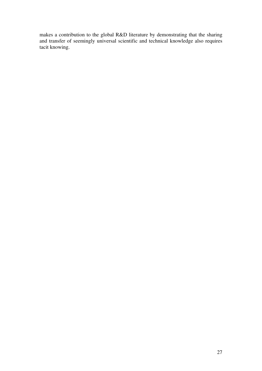makes a contribution to the global R&D literature by demonstrating that the sharing and transfer of seemingly universal scientific and technical knowledge also requires tacit knowing.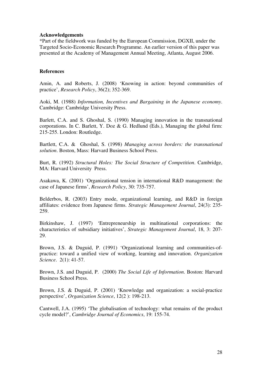# **Acknowledgements**

\*Part of the fieldwork was funded by the European Commission, DGXII, under the Targeted Socio-Economic Research Programme. An earlier version of this paper was presented at the Academy of Management Annual Meeting, Atlanta, August 2006.

# **References**

Amin, A. and Roberts, J. (2008) 'Knowing in action: beyond communities of practice', *Research Policy*, 36(2); 352-369.

Aoki, M. (1988) *Information, Incentives and Bargaining in the Japanese economy*. Cambridge: Cambridge University Press.

Barlett, C.A. and S. Ghoshal, S. (1990) Managing innovation in the transnational corporations. In C. Barlett, Y. Doz & G. Hedlund (Eds.), Managing the global firm: 215-255. London: Routledge.

Bartlett, C.A. & Ghoshal, S. (1998) *Managing across borders: the transnational solution*. Boston, Mass: Harvard Business School Press.

Burt, R. (1992) *Structural Holes: The Social Structure of Competition*. Cambridge, MA: Harvard University Press.

Asakawa, K. (2001) 'Organizational tension in international R&D management: the case of Japanese firms', *Research Policy*, 30: 735-757.

Belderbos, R. (2003) Entry mode, organizational learning, and R&D in foreign affiliates: evidence from Japanese firms. *Strategic Management Journal*, 24(3): 235- 259.

Birkinshaw, J. (1997) 'Entrepreneurship in multinational corporations: the characteristics of subsidiary initiatives', *Strategic Management Journal*, 18, 3: 207- 29.

Brown, J.S. & Duguid, P. (1991) 'Organizational learning and communities-ofpractice: toward a unified view of working, learning and innovation. *Organization Science*. 2(1): 41-57.

Brown, J.S. and Duguid, P. (2000) *The Social Life of Information*. Boston: Harvard Business School Press.

Brown, J.S. & Duguid, P. (2001) 'Knowledge and organization: a social-practice perspective', *Organization Science*, 12(2 ): 198-213.

Cantwell, J.A. (1995) 'The globalisation of technology: what remains of the product cycle model?', *Cambridge Journal of Economics*, 19: 155-74.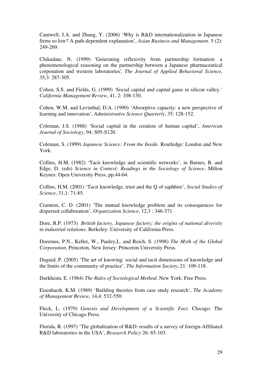Cantwell, J.A. and Zhang, Y. (2006) 'Why is R&D internationalization in Japanese firms so low? A path-dependent explanation', *Asian Business and Management*. 5 (2): 249-269.

Chikudate, N. (1999) 'Generating reflexivity from partnership formation: a phenomenological reasoning on the partnership between a Japanese pharmaceutical corporation and western laboratories', *The Journal of Applied Behavioral Science*, 35,3: 287-305.

Cohen, S.S. and Fields, G. (1999) 'Social capital and capital gains in silicon valley.' *California Management Review*, 41, 2: 108-130.

Cohen, W.M. and Levinthal, D.A. (1990) 'Absorptive capacity: a new perspective of learning and innovation', *Administrative Science Quarterly*, 35: 128-152.

Coleman, J.S. (1988) 'Social capital in the creation of human capital', *American Journal of Sociology*, 94: S95-S120.

Coleman, S. (1999) *Japanese Science: From the Inside*. Routledge: London and New York.

Collins, H.M. (1982) 'Tacit knowledge and scientific networks', in Barnes, B. and Edge, D. (eds) *Science in Context: Readings in the Sociology of Science*. Milton Keynes: Open University Press, pp.44-64.

Collins, H.M. (2001) 'Tacit knowledge, trust and the Q of saphhire', *Social Studies of Science*, 31,1: 71-85.

Cramton, C. D. (2001) 'The mutual knowledge problem and its consequences for dispersed collaboration', *Organization Science*, 12,3 : 346-371.

Dore, R.P. (1973) *British factory, Japanese factory; the origins of national diversity in industrial relations*. Berkeley: University of California Press.

Doremus, P.N., Keller, W., Pauley,L. and Reich, S. (1998) *The Myth of the Global Corporation*. Princeton, New Jersey: Princeton University Press.

Duguid, P. (2005) 'The art of knowing: social and tacit dimensions of knowledge and the limits of the community of practice', *The Information Society*, 21: 109-118.

Durkheim, E. (1964) *The Rules of Sociological Method*. New York: Free Press.

Eisenhardt, K.M. (1989) 'Building theories from case study research', *The Academy of Management Review*, 14,4: 532-550.

Fleck, L. (1979) *Genesis and Development of a Scientific Fact*. Chicago: The University of Chicago Press.

Florida, R. (1997) 'The globalization of R&D: results of a survey of foreign-Affiliated R&D laboratories in the USA', *Research Policy* 26: 85-103.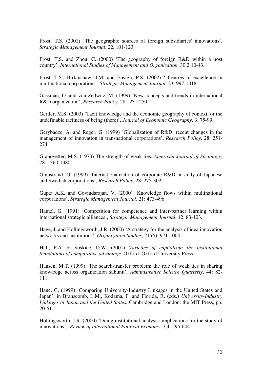Frost, T.S. (2001) 'The geographic sources of foreign subsidiaries' innovations', *Strategic Management Journal*, 22, 101-123.

Frost, T.S. and Zhou, C. (2000) 'The geography of foreign R&D within a host country', *International Studies of Management and Organization,* 30,2:10-43.

Frost, T.S., Birkinshaw, J.M. and Ensign, P.S. (2002) ' Centres of excellence in multinational corporations', *Strategic Management Journal*, 23: 997-1018.

Gassman, O. and von Zedwitz, M. (1999) 'New concepts and trends in international R&D organization', *Research Policy,* 28: 231-250.

Gertler, M.S. (2003) 'Tacit knowledge and the economic geography of context, or the undefinable tacitness of being (there)', *Journal of Economic Geography*, 3: 75-99.

Gerybadze, A. and Reger, G. (1999) 'Globalization of R&D: recent changes in the management of innovation in transnational corporations', *Research Policy*, 28: 251- 274.

Granovetter, M.S. (1973) The strength of weak ties. *American Journal of Sociology*, 78: 1360-1380.

Granstrand, O. (1999) 'Internationalization of corporate R&D: a study of Japanese and Swedish corporations', *Research Policy*, 28: 275-302.

Gupta A.K. and Govindarajan, V. (2000) 'Knowledge flows within multinational corporations', *Strategic Management Journal*, 21: 473-496.

Hamel, G. (1991) 'Competition for competence and inter-partner learning within international strategic alliances', *Strategic Management Journal*, 12: 83-103.

Hage, J. and Hollingsworth, J.R. (2000) 'A strategy for the analysis of idea innovation networks and institutions', *Organization Studies*, 21 (5): 971-1004.

Hall, P.A. & Soskice, D.W. (2001) *Varieties of capitalism: the institutional foundations of comparative advantage*. Oxford: Oxford University Press.

Hansen, M.T. (1999) 'The search-transfer problem: the role of weak ties in sharing knowledge across organization subunit', *Administrative Science Quarterly*, 44: 82- 111.

Hane, G. (1999) 'Comparing University-Industry Linkages in the United States and Japan', in Branscomb, L.M., Kodama, F. and Florida, R. (eds.) *University-Industry Linkages in Japan and the United States*, Cambridge and London: the MIT Press, pp. 20-61.

Hollingsworth, J.R. (2000) 'Doing institutional analysis: implications for the study of innovations', *Review of International Political Economy*, 7,4: 595-644.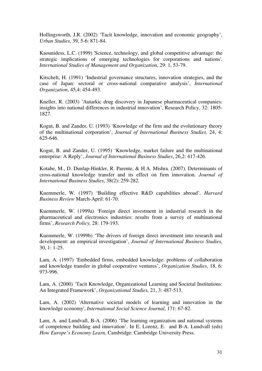Hollingsworth, J.R. (2002) 'Tacit knowledge, innovation and economic geography', *Urban Studies*, 39, 5-6: 871-84.

Kaounidess, L.C. (1999) 'Science, technology, and global competitive advantage: the strategic implications of emerging technologies for corporations and nations'. *International Studies of Management and Organization*, 29: 1, 53-79.

Kitschelt, H. (1991) 'Industrial governance structures, innovation strategies, and the case of Japan: sectoral or cross-national comparative analysis', *International Organization*, 45,4: 454-493.

Kneller, R. (2003) 'Autarkic drug discovery in Japanese pharmaceutical companies: insights into national differences in industrial innovation', Research Policy, 32: 1805- 1827.

Kogut, B. and Zander, U. (1993) 'Knowledge of the firm and the evolutionary theory of the multinational corporation', *Journal of International Business Studies,* 24, 4: 625-646.

Kogut, B. and Zander, U. (1995) 'Knowledge, market failure and the multinational enterprise: A Reply', *Journal of International Business Studies*, 26,2: 417-426.

Kotabe, M., D. Dunlap-Hinkler, R. Parente, & H.A. Mishra. (2007). Determinants of cross-national knowledge transfer and its effect on firm innovation. *Journal of International Business Studies*, 38(2): 259-282.

Kuemmerle, W. (1997) 'Building effective R&D capabilities abroad'. *Harvard Business Review* March-April: 61-70.

Kuemmerle, W. (1999a) 'Foreign direct investment in industrial research in the pharmaceutical and electronics industries: results from a survey of multinational firms', *Research Policy,* 28: 179-193.

Kuemmerle, W. (1999b) 'The drivers of foreign direct investment into research and development: an empirical investigation', *Journal of International Business Studies*, 30, 1: 1-25.

Lam, A. (1997) 'Embedded firms, embedded knowledge: problems of collaboration and knowledge transfer in global cooperative ventures', *Organization Studies*, 18, 6: 973-996.

Lam, A. (2000) 'Tacit Knowledge, Organizational Learning and Societal Institutions: An Integrated Framework', *Organizational Studies,* 21, 3: 487-513.

Lam, A. (2002) 'Alternative societal models of learning and innovation in the knowledge economy', *International Social Science Journal*, 171: 67-82.

Lam, A. and Lundvall, B-A. (2006) 'The learning organization and national systems of competence building and innovation'. In E. Lorenz, E. and B-A. Lundvall (eds) *How Europe's Economy Learn*, Cambridge: Cambridge University Press.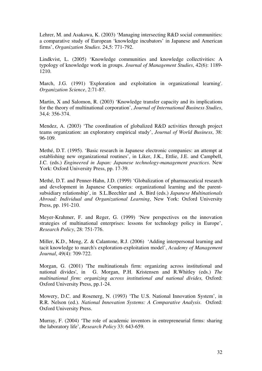Lehrer, M. and Asakawa, K. (2003) 'Managing intersecting R&D social communities: a comparative study of European 'knowledge incubators' in Japanese and American firms', *Organization Studies*. 24,5: 771-792.

Lindkvist, L. (2005) 'Knowledge communities and knowledge collectivities: A typology of knowledge work in groups. *Journal of Management Studies*, 42(6): 1189- 1210.

March, J.G. (1991) 'Exploration and exploitation in organizational learning'. *Organization Science*, 2:71-87.

Martin, X and Salomon, R. (2003) 'Knowledge transfer capacity and its implications for the theory of multinational corporation', *Journal of International Business Studies*, 34,4: 356-374.

Mendez, A. (2003) 'The coordination of globalized R&D activities through project teams organization: an exploratory empirical study', *Journal of World Business*, 38: 96-109.

Methé, D.T. (1995). 'Basic research in Japanese electronic companies: an attempt at establishing new organizational routines', in Liker, J.K., Ettlie, J.E. and Campbell, J.C. (eds.) *Engineered in Japan: Japanese technology-management practices*. New York: Oxford University Press, pp. 17-39.

Methé, D.T. and Penner-Hahn, J.D. (1999) 'Globalization of pharmaceutical research and development in Japanese Companies: organizational learning and the parentsubsidiary relationship', in S.L.Beechler and A. Bird (eds.) *Japanese Multinationals Abroad: Individual and Organizational Learning*, New York: Oxford University Press, pp. 191-210.

Meyer-Krahmer, F. and Reger, G. (1999) 'New perspectives on the innovation strategies of multinational enterprises: lessons for technology policy in Europe', *Research Policy*, 28: 751-776.

Miller, K.D., Meng, Z. & Calantone, R.J. (2006) 'Adding interpersonal learning and tacit knowledge to march's exploration-exploitation model', *Academy of Management Journal*, 49(4): 709-722.

Morgan, G. (2001) 'The multinationals firm: organizing across institutional and national divides', in G. Morgan, P.H. Kristensen and R.Whitley (eds.) *The multinational firm: organizing across institutional and national divides,* Oxford: Oxford University Press, pp.1-24.

Mowery, D.C. and Rosenerg, N. (1993) 'The U.S. National Innovation System', in R.R. Nelson (ed.). *National Innovation Systems: A Comparative Analysis*. Oxford: Oxford University Press.

Murray, F. (2004) 'The role of academic inventors in entrepreneurial firms: sharing the laboratory life', *Research Policy* 33: 643-659.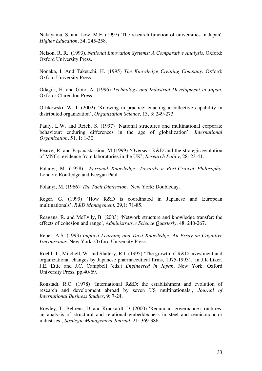Nakayama, S. and Low, M.F. (1997) 'The research function of universities in Japan'. *Higher Education*, 34, 245-258.

Nelson, R. R. (1993). *National Innovation Systems: A Comparative Analysis*. Oxford: Oxford University Press.

Nonaka, I. And Takeuchi, H. (1995) *The Knowledge Creating Company.* Oxford: Oxford University Press.

Odagiri, H. and Goto, A. (1996) *Technology and Industrial Development in Japan*, Oxford: Clarendon Press.

Orlikowski, W. J. (2002) 'Knowing in practice: enacting a collective capability in distributed organization', *Organization Science*, 13, 3: 249-273.

Pauly, L.W. and Reich, S. (1997) 'National structures and multinational corporate behaviour: enduring differences in the age of globalization', *International Organization*, 51, 1: 1-30.

Pearce, R. and Papanastassiou, M (1999) 'Overseas R&D and the strategic evolution of MNCs: evidence from laboratories in the UK', *Research Policy*, 28: 23-41.

Polanyi, M. (1958) *Personal Knowledge: Towards a Post-Critical Philosophy.*  London: Routledge and Keegan Paul.

Polanyi, M. (1966) *The Tacit Dimension*. New York: Doubleday.

Reger, G. (1999) 'How R&D is coordinated in Japanese and European multinationals', *R&D Management,* 29,1: 71-85.

Reagans, R. and McEvily, B. (2003) 'Network structure and knowledge transfer: the effects of cohesion and range', *Administrative Science Quarterly*, 48: 240-267.

Reber, A.S. (1993) *Implicit Learning and Tacit Knowledge: An Essay on Cognitive Unconscious*. New York: Oxford University Press.

Roehl, T., Mitchell, W. and Slattery, R.J. (1995) 'The growth of R&D investment and organizational changes by Japanese pharmaceutical firms, 1975-1993', in J.K.Liker, J.E. Ettie and J.C. Campbell (eds.) *Engineered in Japan*. New York: Oxford University Press, pp.40-69.

Ronstadt, R.C. (1978) 'International R&D: the establishment and evolution of research and development abroad by seven US multinationals', *Journal of International Business Studies*, 9: 7-24.

Rowley, T., Behrens, D. and Krackardt, D. (2000) 'Redundant governance structures: an analysis of structural and relational embeddedness in steel and semiconductor industries', *Strategic Management Journal*, 21: 369-386.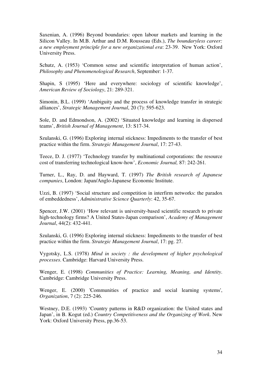Saxenian, A. (1996) Beyond boundaries: open labour markets and learning in the Silicon Valley. In M.B. Arthur and D.M. Rousseau (Eds.), *The boundaryless career: a new employment principle for a new organizational era*: 23-39. New York: Oxford University Press.

Schutz, A. (1953) 'Common sense and scientific interpretation of human action', *Philosophy and Phenomenological Research*, September: 1-37.

Shapin, S (1995) 'Here and everywhere: sociology of scientific knowledge', *American Review of Sociology*, 21: 289-321.

Simonin, B.L. (1999) 'Ambiguity and the process of knowledge transfer in strategic alliances', *Strategic Management Journal*, 20 (7): 595-623.

Sole, D. and Edmondson, A. (2002) 'Situated knowledge and learning in dispersed teams', *British Journal of Management*, 13: S17-34.

Szulanski, G. (1996) Exploring internal stickness: Impediments to the transfer of best practice within the firm. *Strategic Management Journal*, 17: 27-43.

Teece, D. J. (1977) 'Technology transfer by multinational corporations: the resource cost of transferring technological know-how', *Economic Journal,* 87: 242-261*.*

Turner, L., Ray, D. and Hayward, T. (1997) *The British research of Japanese companies*, London: Japan/Anglo-Japanese Economic Institute.

Uzzi, B. (1997) 'Social structure and competition in interfirm networks: the paradox of embeddedness', *Administrative Science Quarterly*: 42, 35-67.

Spencer, J.W. (2001) 'How relevant is university-based scientific research to private high-technology firms? A United States-Japan comparison', *Academy of Management Journal*, 44(2): 432-441.

Szulanski, G. (1996) Exploring internal stickness: Impediments to the transfer of best practice within the firm. *Strategic Management Journal*, 17: pg. 27.

Vygotsky, L.S. (1978) *Mind in society : the development of higher psychological processes*. Cambridge: Harvard University Press.

Wenger, E. (1998) *Communities of Practice: Learning, Meaning, and Identity*. Cambridge: Cambridge University Press.

Wenger, E. (2000) 'Communities of practice and social learning systems', *Organization*, 7 (2): 225-246.

Westney, D.E. (1993) 'Country patterns in R&D organization: the United states and Japan', in B. Kogut (ed.) *Country Competitiveness and the Organizing of Work*. New York: Oxford University Press, pp.36-53.